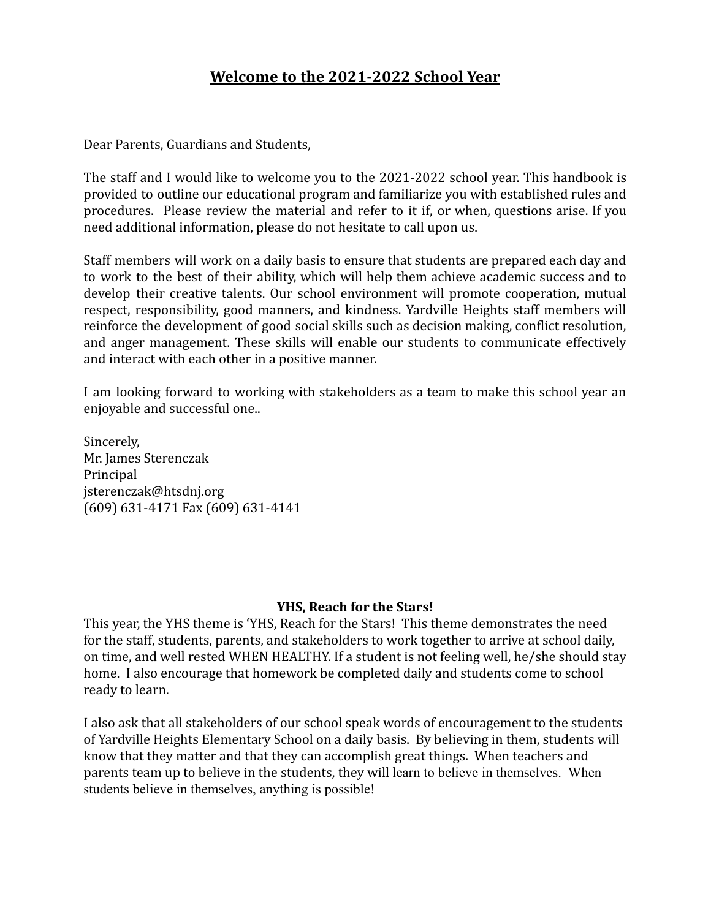# **Welcome to the 2021-2022 School Year** Welcome to the 2021-2022 School Year

Dear Parents, Guardians and Students, Dear Parents, Guardians and Students,

The staff and I would like to welcome you to the 2021-2022 school year. This handbook is The staff and I would like to welcome you to the 2021-2022 school year. This handbook is provided to outline our educational program and familiarize you with established rules and provided to outline our educational program and familiarize you with established rules and procedures. Please review the material and refer to it if, or when, questions arise. If you procedures. Please review the material and refer to it if, or when, questions arise. If you need additional information, please do not hesitate to call upon us. need additional information, please do not hesitate to call upon us.

Staff members will work on a daily basis to ensure that students are prepared each day and Staff members will work on a daily basis to ensure that students are prepared each day and to work to the best of their ability, which will help them achieve academic success and to to work to the best of their ability, which will help them achieve academic success and to develop their creative talents. Our school environment will promote cooperation, mutual develop their creative talents. Our school environment will promote cooperation, mutual respect, responsibility, good manners, and kindness. Yardville Heights staff members will respect, responsibility, good manners, and kindness. Yardville Heights staff members will reinforce the development of good social skills such as decision making, conflict resolution, reinforce the development of good social skills such as decision making, conflict resolution, and anger management. These skills will enable our students to communicate effectively and anger management. These skills will enable our students to communicate effectively and interact with each other in a positive manner. and interact with each other in a positive manner.

I am looking forward to working with stakeholders as a team to make this school year an <sup>I</sup>am looking forward to working with stakeholders as a team to make this school year an enjoyable and successful one.. enjoyable and successful one..

Sincerely, Sincerely, Mr. James Sterenczak Mr. James Sterenczak Principal Principal jsterenczak@htsdnj.org jsterenczak@htsdnj.org (609) 631-4171 Fax (609) 631-4141 (609) 631-4171 Fax (609) 631-4141

#### **YHS, Reach for the Stars!** YHS, Reach for the Stars!

This year, the YHS theme is 'YHS, Reach for the Stars! This theme demonstrates the need This year, the Y HS theme is 'YHS, Reach for the Stars! This theme demonstrates the need for the staff, students, parents, and stakeholders to work together to arrive at school daily, for the staff, students, parents, and stakeholders to work together to arrive at school daily, on time, and well rested WHEN HEALTHY. If a student is not feeling well, he/she should stay on time, and well rested WHEN HEALTHY. If a student is not feeling well, he/she should stay home. I also encourage that homework be completed daily and students come to school home. I also encourage that homework be completed daily and students come to school ready to learn. ready to learn.

I also ask that all stakeholders of our school speak words of encouragement to the students <sup>I</sup>also ask that all stakeholders of our school speak words of encouragement to the students of Yardville Heights Elementary School on a daily basis. By believing in them, students will of Yardville Heights Elementary School on a daily basis. By believing in them, students will know that they matter and that they can accomplish great things. When teachers and know that they matter and that they can accomplish great things. When teachers and parents team up to believe in the students, they will learn to believe in themselves. When parents team up to believe in the students, they will learn to believe in themselves. When students believe in themselves, anything is possible! students believe in themselves, anything is possible!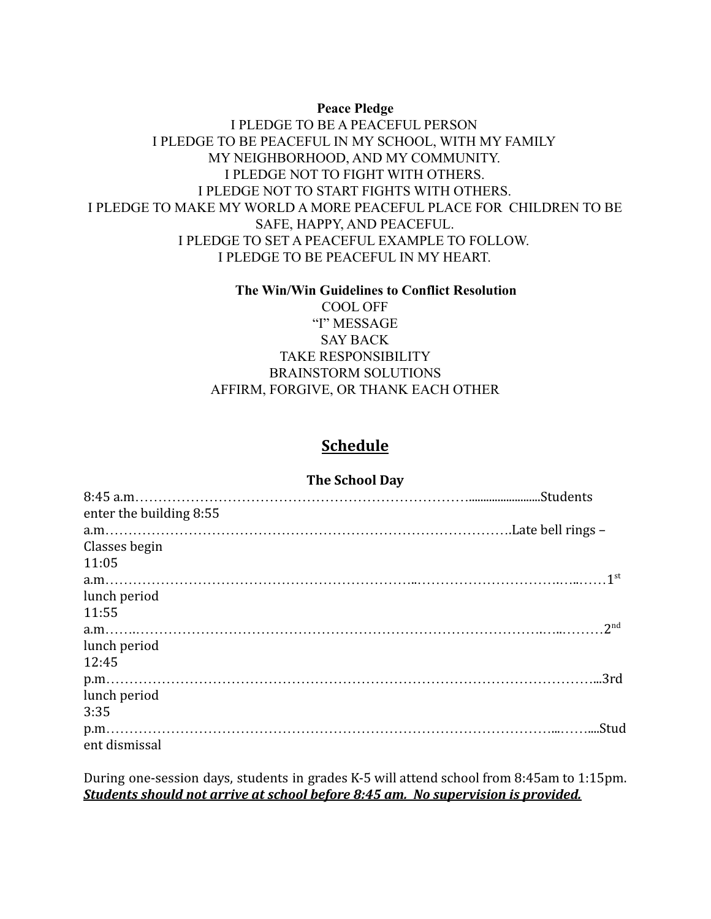#### **Peace Pledge** Peace Pledge

### I PLEDGE TO BE A PEACEFUL PERSON <sup>1</sup>PLEDGE TO BE A PEACEFUL PERSON I PLEDGE TO BE PEACEFUL IN MY SCHOOL, WITH MY FAMILY <sup>1</sup>PLEDGE TO BE PEACEFUL IN MY SCHOOL, WITH MY FAMILY MY NEIGHBORHOOD, AND MY COMMUNITY. MY NEIGHBORHOOD, AND MY COMMUNITY. I PLEDGE NOT TO FIGHT WITH OTHERS. <sup>1</sup>PLEDGE NOT TO FIGHT WITH OTHERS I PLEDGE NOT TO START FIGHTS WITH OTHERS. <sup>1</sup>PLEDGE NOT TO START FIGHTS WITH OTHERS I PLEDGE TO MAKE MY WORLD A MORE PEACEFUL PLACE FOR CHILDREN TO BE <sup>1</sup>PLEDGE TO MAKE MY WORLD A MORE PEACEFUL PLACE FOR CHILDREN TO BE SAFE, HAPPY, AND PEACEFUL. SAFE, HAPPY, AND PEACEFUL. I PLEDGE TO SET A PEACEFUL EXAMPLE TO FOLLOW. <sup>1</sup>PLEDGE TO SET A PEACEFUL EXAMPLE TO FOLLOW. I PLEDGE TO BE PEACEFUL IN MY HEART. <sup>1</sup>PLEDGE TO BE PEACEFUL IN MY HEART.

### **The Win/Win Guidelines to Conflict Resolution** The Win/Win Guidelines to Conflict Resolution COOL OFF COOL OFF "I" MESSAGE SAY BACK SAY BACK TAKE RESPONSIBILITY TAKE RESPONSIBILITY BRAINSTORM SOLUTIONS BRAINSTORM SOLUTIONS AFFIRM, FORGIVE, OR THANK EACH OTHER AFFIRM, FORGIVE, OR THANK EACH OTHER

### **Schedule** Schedule

#### **The School Day** The School Day

| enter the building 8:55 |                 |
|-------------------------|-----------------|
|                         |                 |
| Classes begin           |                 |
| 11:05                   |                 |
|                         |                 |
| lunch period            |                 |
| 11:55                   |                 |
|                         | 2 <sub>nd</sub> |
| lunch period            |                 |
| 12:45                   |                 |
|                         |                 |
| lunch period            |                 |
| 3:35                    |                 |
|                         |                 |
| ent dismissal           |                 |
|                         |                 |

During one-session days, students in grades K-5 will attend school from 8:45am to 1:15pm. During one-session days, students in grades K-5 will attend school from 8:45am to 1:15pm. *Students should not arrive at school before 8:45 am. No supervision is provided.* Students should not arrive at school before 8:45 am. No supervision is provided.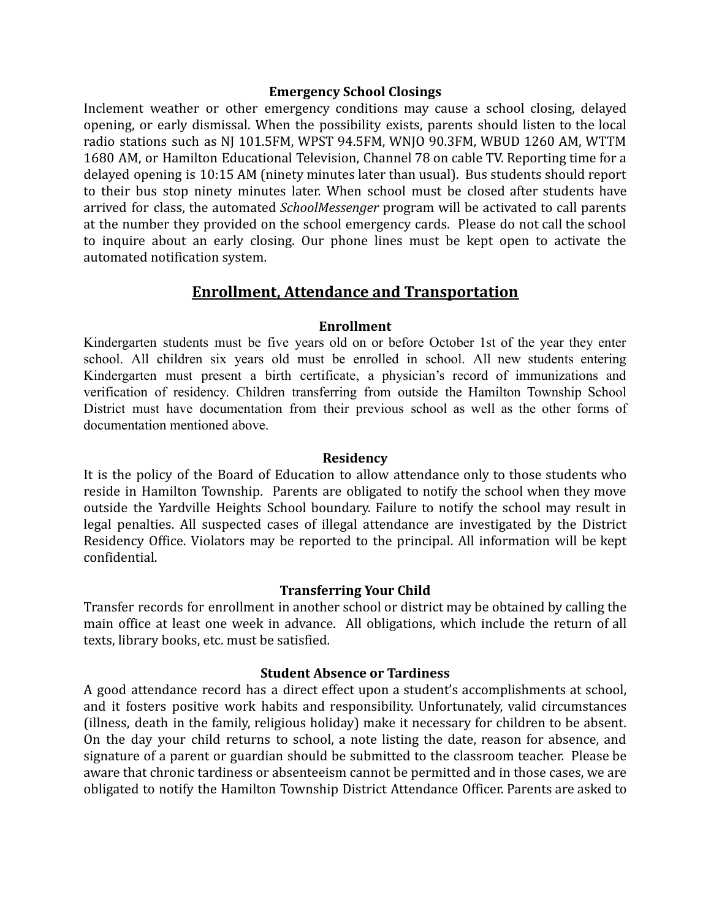## **Emergency School Closings** Emergency School Closings

Inclement weather or other emergency conditions may cause a school closing, delayed Inclement weather or other emergency conditions may cause a school closing, delayed opening, or early dismissal. When the possibility exists, parents should listen to the local opening, or early dismissal. When the possibility exists, parents should listen to the local radio stations such as NJ 101.5FM, WPST 94.5FM, WNJO 90.3FM, WBUD 1260 AM, WTTM 1680 AM, or Hamilton Educational Television, Channel 78 on cable TV. Reporting time for a 1680 AM, or Hamilton Educational Television, Channel 78 on cable TV. Reporting time for a delayed opening is 10:15 AM (ninety minutes later than usual). Bus students should report delayed opening is 10:15 AM (ninety minutes later than usual). Bus students should report to their bus stop ninety minutes later. When school must be closed after students have to their bus stop ninety minutes later. When school must be closed after students have arrived for class, the automated *SchoolMessenger* program will be activated to call parents arrived for class, the automated SchoolMessenger program will be activated to call parents at the number they provided on the school emergency cards. Please do not call the school at the number they provided on the school emergency cards. Please do not call the school to inquire about an early closing. Our phone lines must be kept open to activate the to inquire about an early closing. Our phone lines must be kept open to activate the automated notification system. automated notification system.

## **Enrollment, Attendance and Transportation** Enrollment. Attendance and Transportation

#### **Enrollment** Enrollment

Kindergarten students must be five years old on or before October 1st of the year they enter Kindergarten students must be five years old on or before October 1st of the year they enter school. All children six years old must be enrolled in school. All new students entering school. All children six years old must be enrolled in school. All new students entering Kindergarten must present a birth certificate, a physician's record of immunizations and Kindergarten must present a birth certificate, a physician's record of immunizations and verification of residency. Children transferring from outside the Hamilton Township School verification of residency. Children transferring from outside the Hamilton Township School District must have documentation from their previous school as well as the other forms of District must have documentation from their previous school as well as the other forms of documentation mentioned above. documentation mentioned above.

## **Residency** Residency

It is the policy of the Board of Education to allow attendance only to those students who It is the policy of the Board of Education to allow attendance only to those students who reside in Hamilton Township. Parents are obligated to notify the school when they move reside in Hamilton Township. Parents are obligated to notify the school when they move outside the Yardville Heights School boundary. Failure to notify the school may result in outside the Yardville Heights School boundary. Failure to notify the school may result in legal penalties. All suspected cases of illegal attendance are investigated by the District legal penalties. All suspected cases of illegal attendance are investigated by the District Residency Office. Violators may be reported to the principal. All information will be kept Residency Office. Violators may be reported to the principal. All information will be kept confidential. confidential.

### **Transferring Your Child** Transferring Your Child

Transfer records for enrollment in another school or district may be obtained by calling the Transfer records for enrollment in another school or district may be obtained by calling the main office at least one week in advance. All obligations, which include the return of all main office at least one week in advance. All obligations, which include the return of all texts, library books, etc. must be satisfied. texts, library books, etc. must be satisfied.

### **Student Absence or Tardiness** Student Absence or Tardiness

A good attendance record has a direct effect upon a student's accomplishments at school, A good attendance record has a direct effect upon a student's accomplishments at school, and it fosters positive work habits and responsibility. Unfortunately, valid circumstances and it fosters positive work habits and responsibility. Unfortunately, valid circumstances (illness, death in the family, religious holiday) make it necessary for children to be absent. (illness, death in the family, religious holiday) make it necessary for children to be absent. On the day your child returns to school, a note listing the date, reason for absence, and On the day your child returns to school, a note listing the date, reason for absence, and signature of a parent or guardian should be submitted to the classroom teacher. Please be signature of a parent or guardian should be submitted to the classroom teacher. Please be aware that chronic tardiness or absenteeism cannot be permitted and in those cases, we are aware that chronic tardiness or absenteeism cannot be permitted and in those cases, we are obligated to notify the Hamilton Township District Attendance Officer. Parents are asked to obligated to notify the Hamilton Township District Attendance Officer. Parents are asked to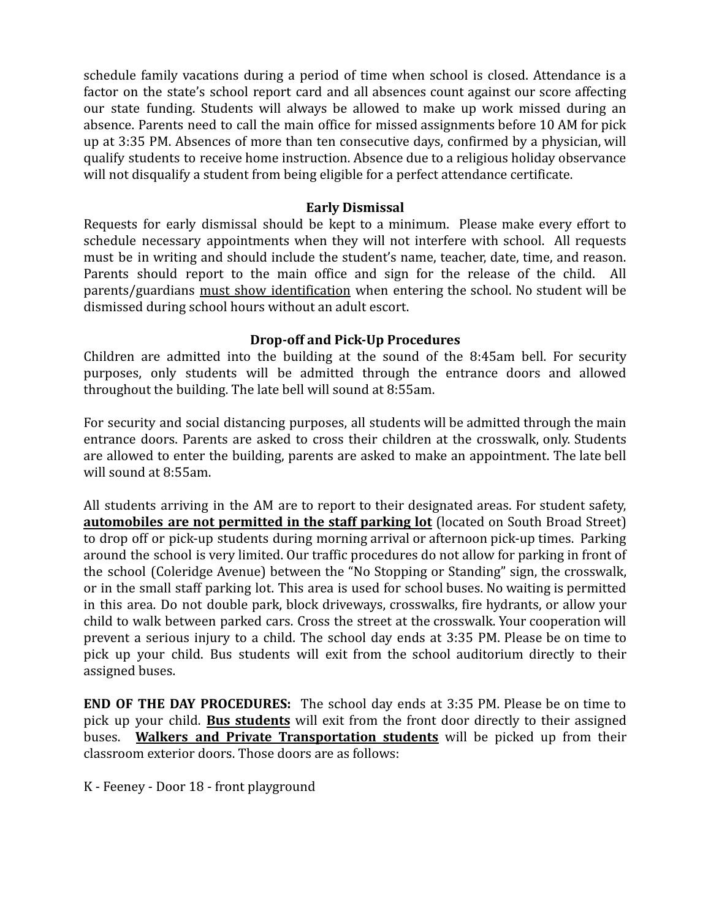schedule family vacations during a period of time when school is closed. Attendance is a schedule family vacations during a period of time when school is closed. Attendance is a factor on the state's school report card and all absences count against our score affecting factor on the state's school report card and all absences count against our score affecting our state funding. Students will always be allowed to make up work missed during an absence. Parents need to call the main office for missed assignments before 10 AM for pick absence. Parents need to call the main office for missed assignments before 10 AM for pick up at 3:35 PM. Absences of more than ten consecutive days, confirmed by a physician, will up at 3:35 PM. Absences of more than ten consecutive days, confirmed by a physician, will qualify students to receive home instruction. Absence due to a religious holiday observance qualify students to receive home instruction. Absence due to a religious holiday observance will not disqualify a student from being eligible for a perfect attendance certificate. will not disqualify a student from being eligible for a perfect attendance certificate.

### **Early Dismissal** Early Dismissal

Requests for early dismissal should be kept to a minimum. Please make every effort to Requests for early dismissal should be kept to a minimum. Please make every effort to schedule necessary appointments when they will not interfere with school. All requests schedule necessary appointments when they will not interfere with school. All requests must be in writing and should include the student's name, teacher, date, time, and reason. must be in writing and should include the student's name, teacher, date, time, and reason. Parents should report to the main office and sign for the release of the child. All Parents should report to the main office and sign for the release of the child. All parents/guardians <u>must show identification</u> when entering the school. No student will be dismissed during school hours without an adult escort. dismissed during school hours without an adult escort.

## **Drop-off and Pick-Up Procedures** Drop-off and Pick-Up Procedures

Children are admitted into the building at the sound of the 8:45am bell. For security Children are admitted into the building at the sound of the 8:45am bell. For security purposes, only students will be admitted through the entrance doors and allowed purposes, only students will be admitted through the entrance doors and allowed throughout the building. The late bell will sound at 8:55am. throughout the building. The late bell will sound at 8:55am.

For security and social distancing purposes, all students will be admitted through the main For security and social distancing purposes, all students will be admitted through the main entrance doors. Parents are asked to cross their children at the crosswalk, only. Students entrance doors. Parents are asked to cross their children at the crosswalk, only. Students are allowed to enter the building, parents are asked to make an appointment. The late bell are allowed to enter the building, parents are asked to make an appointment. The late bell will sound at 8:55am. will sound at 8:55am.

All students arriving in the AM are to report to their designated areas. For student safety, All students arriving in the AM are to report to their designated areas. For student safety, automobiles are not permitted in the staff parking lot (located on South Broad Street) to drop off or pick-up students during morning arrival or afternoon pick-up times. Parking to drop off or pick-up students during morning arrival or afternoon pick-up times. Parking around the school is very limited. Our traffic procedures do not allow for parking in front of around the school is very limited. Our traffic procedures do not allow for parking in front of the school (Coleridge Avenue) between the "No Stopping or Standing" sign, the crosswalk, the school (Coleridge Avenue) between the "No Stopping or Standing" sign, the crosswalk, or in the small staff parking lot. This area is used for school buses. No waiting is permitted or in the small staff parking lot. This area is used for school buses. No waiting is permitted in this area. Do not double park, block driveways, crosswalks, fire hydrants, or allow your in this area. Do not double park, block driveways, crosswalks, fire hydrants, or allow your child to walk between parked cars. Cross the street at the crosswalk. Your cooperation will child to walk between parked cars. Cross the street at the crosswalk. Your cooperation will prevent a serious injury to a child. The school day ends at 3:35 PM. Please be on time to prevent a serious injury to a child. The school day ends at 3:35 PM. Please be on time to pick up your child. Bus students will exit from the school auditorium directly to their pick up your child. Bus students will exit from the school auditorium directly to their assigned buses. assigned buses.

**END OF THE DAY PROCEDURES:** The school day ends at 3:35 PM. Please be on time to END OF THE DAY PROCEDURES: The school day ends at 3:35 PM. Please be on time to pick up your child. **Bus students** will exit from the front door directly to their assigned pick up your child. Bus students will exit from the front door directly to their assigned buses. **Walkers and Private Transportation students** will be picked up from their buses. Walkers and Private Transportation students will be picked up from their classroom exterior doors. Those doors are as follows: classroom exterior doors. Those doors are as follows:

K - Feeney - Door 18 - front playground K - Feeney - Door 18 - front playground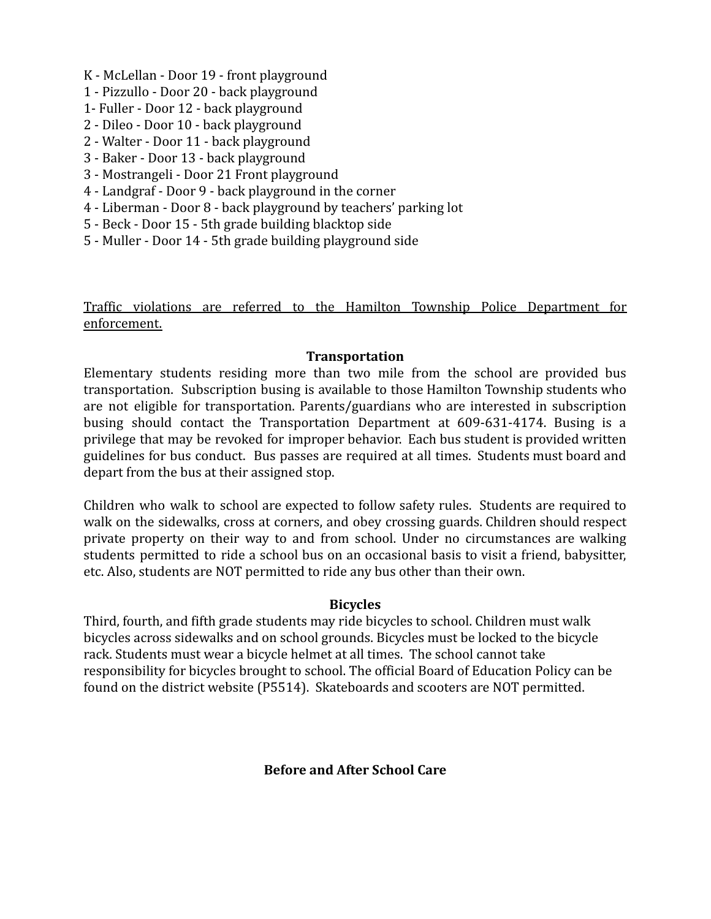- K McLellan Door 19 front playground K McLellan Door 19 front playground
- 1 Pizzullo Door 20 back playground 1 Pizzullo Door 20 back playground
- 1- Fuller Door 12 back playground 1- Fuller Door 12 back playground
- 2 Dileo Door 10 back playground 2 Dileo Door 10 back playground
- 2 Walter Door 11 back playground 2 Walter Door 11 back playground
- 3 Baker Door 13 back playground 3 Baker Door 13 back playground
- 3 Mostrangeli Door 21 Front playground 3 Mostrangeli Door 21 Front playground
- 4 Landgraf Door 9 back playground in the corner 4 Landgraf Door 9 back playground in the corner
- 4 Liberman Door 8 back playground by teachers' parking lot 4 Liberman Door 8 back playground by teachers' parking lot
- 5 Beck Door 15 5th grade building blacktop side 5 Beck Door 15 5th grade building blacktop side
- 5 Muller Door 14 5th grade building playground side 5 Muller Door 14 5th grade building playground side

Traffic violations are referred to the Hamilton Township Police Department for Traffic violations are referred to the Hamilton Township Police Department for enforcement. enforcement.

## **Transportation** Transportation

Elementary students residing more than two mile from the school are provided bus Elementary students residing more than two mile from the school are provided bus transportation. Subscription busing is available to those Hamilton Township students who transportation. Subscription busing is available to those Hamilton Township students who are not eligible for transportation. Parents/guardians who are interested in subscription are not eligible for transportation. Parents/guardians who are interested in subscription busing should contact the Transportation Department at 609-631-4174. Busing is a busing should contact the Transportation Department at 609-631-4174. Busing is a privilege that may be revoked for improper behavior. Each bus student is provided written privilege that may be revoked for improper behavior. Each bus student is provided written guidelines for bus conduct. Bus passes are required at all times. Students must board and guidelines for bus conduct. Bus passes are required at all times. Students must board and depart from the bus at their assigned stop. depart from the bus at their assigned stop.

Children who walk to school are expected to follow safety rules. Students are required to Children who walk to school are expected to follow safety rules. Students are required to walk on the sidewalks, cross at corners, and obey crossing guards. Children should respect walk on the sidewalks, cross at corners, and obey crossing guards. Children should respect private property on their way to and from school. Under no circumstances are walking private property on their way to and from school. Under no circumstances are walking students permitted to ride a school bus on an occasional basis to visit a friend, babysitter, students permitted to ride a school bus on an occasional basis to visit a friend, babysitter, etc. Also, students are NOT permitted to ride any bus other than their own. etc. Also, students are NOT permitted to ride any bus other than their own.

## **Bicycles** Bicycles

Third, fourth, and fifth grade students may ride bicycles to school. Children must walk Third, fourth, and fifth grade students may ride bicycles to school. Children must walk bicycles across sidewalks and on school grounds. Bicycles must be locked to the bicycle bicycles across sidewalks and on school grounds. Bicycles must be locked to the bicycle rack. Students must wear a bicycle helmet at all times. The school cannot take rack. Students must wear a bicycle helmet at all times. The school cannot take responsibility for bicycles brought to school. The official Board of Education Policy can be responsibility for bicycles brought to school. The official Board of Education Policy can be found on the district website (P5514). Skateboards and scooters are NOT permitted. found on the district website (P5514). Skateboards and scooters are NOT permitted.

**Before and After School Care** Before and After School Care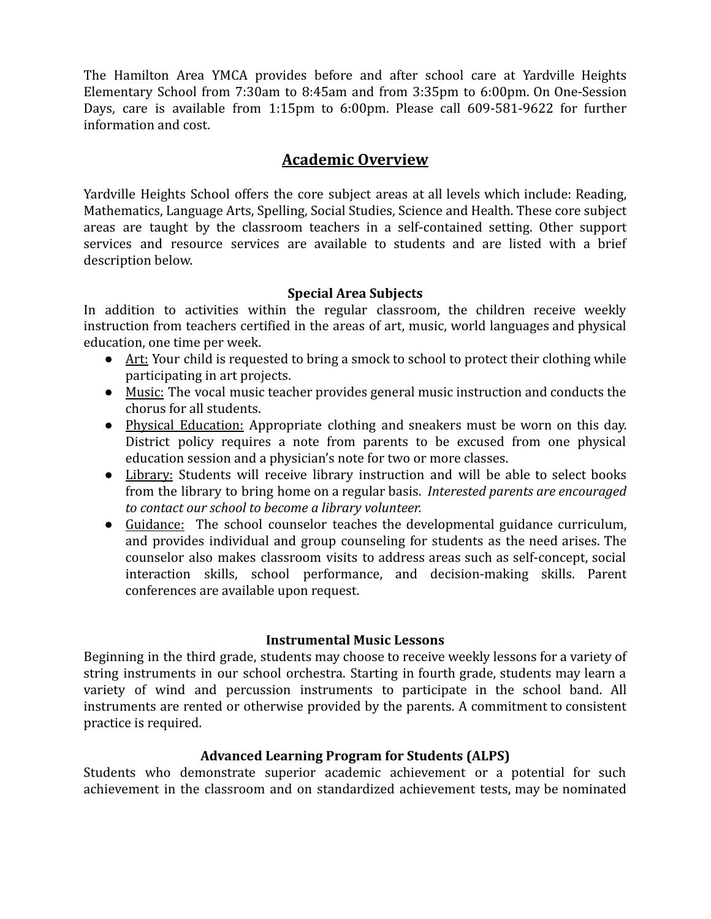The Hamilton Area YMCA provides before and after school care at Yardville Heights The Hamilton Area YMCA provides before and after school care at Yardville Heights Elementary School from 7:30am to 8:45am and from 3:35pm to 6:00pm. On One-Session Elementary School from 7:30am to 8:45am and from 3:35pm to 6:00pm. On One-Session Days, care is available from 1:15pm to 6:00pm. Please call 609-581-9622 for further Days, care is available from 1:15pm to 6:00pm. Please call 609-581-9622 for further information and cost. information and cost.

## **Academic Overview** Academic Overview

Yardville Heights School offers the core subject areas at all levels which include: Reading, Yardville Heights School offers the core subject areas at all levels which include: Reading, Mathematics, Language Arts, Spelling, Social Studies, Science and Health. These core subject Mathematics, Language Arts, Spelling, Social Studies, Science and Health. These core subject areas are taught by the classroom teachers in a self-contained setting. Other support areas are taught by the classroom teachers in a self-contained setting. Other support services and resource services are available to students and are listed with a brief services and resource services are available to students and are listed with a briefdescription below. description below.

## **Special Area Subjects** Special Area Subjects

In addition to activities within the regular classroom, the children receive weekly In addition to activities within the regular classroom, the children receive weekly instruction from teachers certified in the areas of art, music, world languages and physical instruction from teachers certified in the areas of art, music, world languages and physical education, one time per week. education, one time per week.

- Art: Your child is requested to bring a smock to school to protect their clothing while participating in art projects. participating in art projects.
- Music: The vocal music teacher provides general music instruction and conducts the Music: The vocal music teacher provides general music instruction and conducts the chorus for all students. chorus for all students.
- Physical Education: Appropriate clothing and sneakers must be worn on this day. Physical Education: Appropriate clothing and sneakers must be worn on this day. District policy requires a note from parents to be excused from one physical District policy requires a note from parents to be excused from one physical education session and a physician's note for two or more classes. education session and a physician's note for two or more classes.
- Library: Students will receive library instruction and will be able to select books Library: Students will receive library instruction and will be able to select books from the library to bring home on a regular basis. *Interested parents are encouraged* from the library to bring home on a regular basis. Interested parents are encouraged *to contact our school to become a library volunteer.* to contact our school to become a library volunteer.
- Guidance: The school counselor teaches the developmental guidance curriculum, Guidance: The school counselor teaches the developmental guidance curriculum, and provides individual and group counseling for students as the need arises. The and provides individual and group counseling for students as the need arises. The counselor also makes classroom visits to address areas such as self-concept, social counselor also makes classroom visits to address areas such as self-concept, social interaction skills, school performance, and decision-making skills. Parent interaction skills, school performance, and decision-making skills. Parent conferences are available upon request. conferences are available upon request.

### **Instrumental Music Lessons** Instrumental Music Lessons

Beginning in the third grade, students may choose to receive weekly lessons for a variety of Beginning in the third grade, students may choose to receive weekly lessons for a variety of string instruments in our school orchestra. Starting in fourth grade, students may learn a string instruments in our school orchestra. Starting in fourth grade, students may learn a variety of wind and percussion instruments to participate in the school band. All variety of wind and percussion instruments to participate in the school band. All instruments are rented or otherwise provided by the parents. A commitment to consistent instruments are rented or otherwise provided by the parents. A commitment to consistent practice is required. practice is required.

## **Advanced Learning Program for Students (ALPS)** Advanced Learning Program for Students (ALPS)

Students who demonstrate superior academic achievement or a potential for such Students who demonstrate superior academic achievement or a potential for such achievement in the classroom and on standardized achievement tests, may be nominated achievement in the classroom and on standardized achievement tests, may be nominated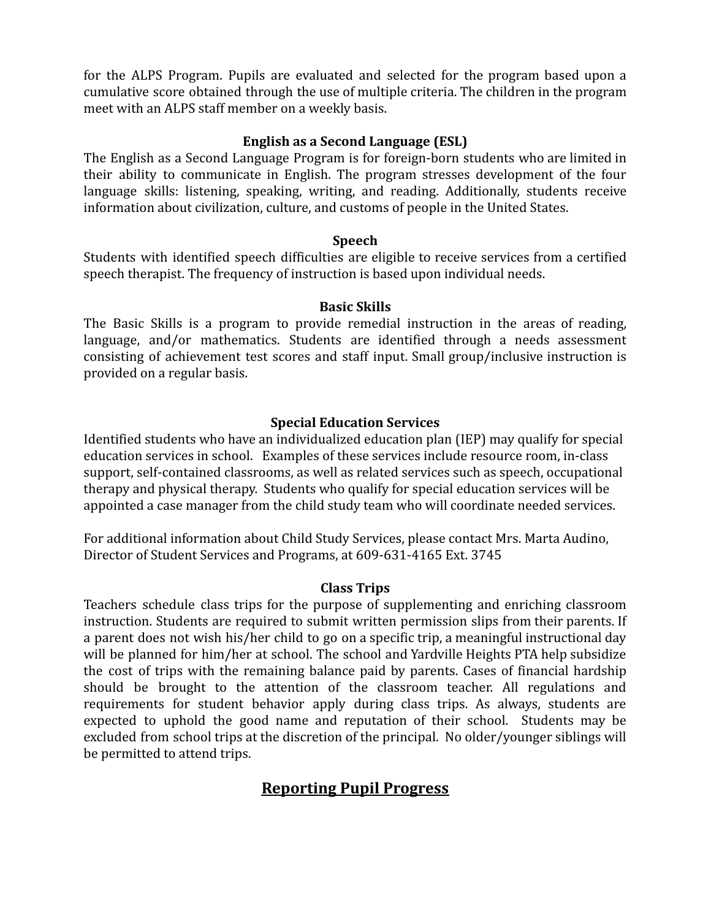for the ALPS Program. Pupils are evaluated and selected for the program based upon a for the ALPS Program. Pupils are evaluated and selected for the program based upon a cumulative score obtained through the use of multiple criteria. The children in the program cumulative score obtained through the use of multiple criteria. The children in the program meet with an ALPS staff member on a weekly basis. meet with an ALPS staff member on a weekly basis.

## **English as a Second Language (ESL)** English as a Second Language (ESL)

The English as a Second Language Program is for foreign-born students who are limited in The English as a Second Language Program is for foreign-born students who are limited in their ability to communicate in English. The program stresses development of the four their ability to communicate in English. The program stresses development of the four language skills: listening, speaking, writing, and reading. Additionally, students receive language skills: listening, speaking, writing, and reading. Additionally, students receive information about civilization, culture, and customs of people in the United States. information about civilization, culture, and customs of people in the United States.

## **Speech** Speech

Students with identified speech difficulties are eligible to receive services from a certified Students with identified speech difficulties are eligible to receive services from a certified speech therapist. The frequency of instruction is based upon individual needs. speech therapist. The frequency of instruction is based upon individual needs.

#### **Basic Skills** Basic Skills

The Basic Skills is a program to provide remedial instruction in the areas of reading, The Basic Skills is a program to provide remedial instruction in the areas of reading, language, and/or mathematics. Students are identified through a needs assessment language, and/or mathematics. Students are identified through a needs assessment consisting of achievement test scores and staff input. Small group/inclusive instruction is consisting of achievement test scores and staff input. Small group/inclusive instruction is provided on a regular basis. provided on a regular basis.

## **Special Education Services** Special Education Services

Identified students who have an individualized education plan (IEP) may qualify for special Identified students who have an individualized education plan (IEP) may qualify for special education services in school. Examples of these services include resource room, in-class education services in school. Examples of these services include resource room, in-class support, self-contained classrooms, as well as related services such as speech, occupational support, self-contained classrooms, as well as related services such as speech, occupational therapy and physical therapy. Students who qualify for special education services will be therapy and physical therapy. Students who qualify for special education services will be appointed a case manager from the child study team who will coordinate needed services. appointed a case manager from the child study team who will coordinate needed services.

For additional information about Child Study Services, please contact Mrs. Marta Audino, For additional information about Child Study Services, please contact Mrs. Marta Audino, Director of Student Services and Programs, at 609-631-4165 Ext. 3745 Director of Student Services and Programs, at 609-631-4165 Ext. 3745

### **Class Trips** Class Trips

Teachers schedule class trips for the purpose of supplementing and enriching classroom Teachers schedule class trips for the purpose of supplementing and enriching classroom instruction. Students are required to submit written permission slips from their parents. If instruction. Students are required to submit written permission slips from their parents. If a parent does not wish his/her child to go on a specific trip, a meaningful instructional day a parent does not wish his/her child to go on a specific trip, a meaningful instructional day will be planned for him/her at school. The school and Yardville Heights PTA help subsidize will be planned for him/her at school. The school and Yardville Heights PTA help subsidize the cost of trips with the remaining balance paid by parents. Cases of financial hardship the cost of trips with the remaining balance paid by parents. Cases of financial hardship should be brought to the attention of the classroom teacher. All regulations and should be brought to the attention of the classroom teacher. All regulations and requirements for student behavior apply during class trips. As always, students are requirements for student behavior apply during class trips. As always, students are expected to uphold the good name and reputation of their school. Students may be expected to uphold the good name and reputation of their school. Students may be excluded from school trips at the discretion of the principal. No older/younger siblings will excluded from school trips at the discretion of the principal. No older/younger siblings will be permitted to attend trips. be permitted to attend trips.

# **Reporting Pupil Progress** Reporting Pupil Progress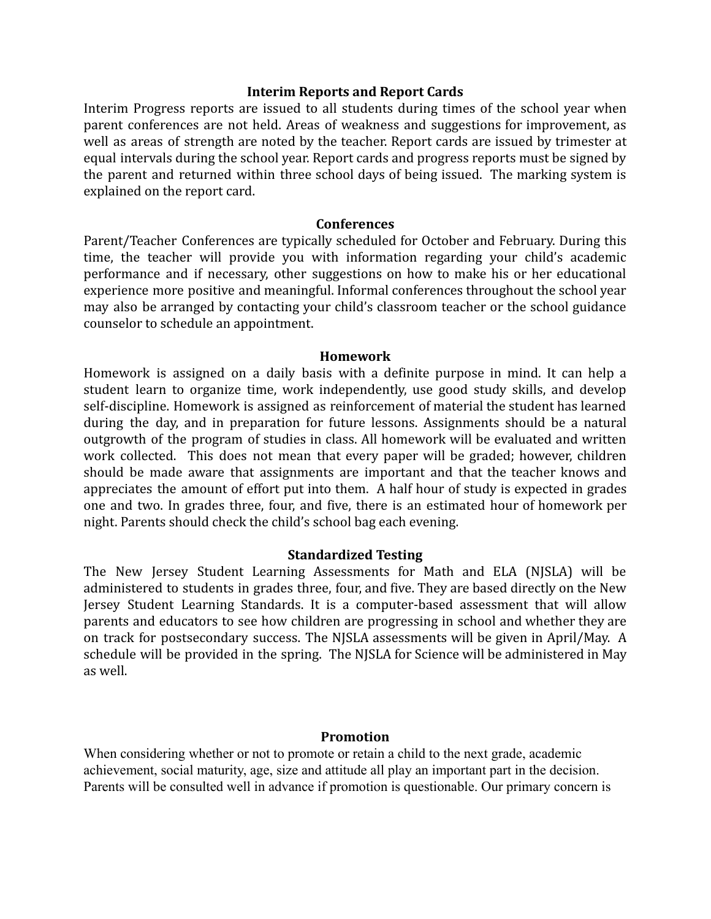### **Interim Reports and Report Cards** Interim Reports and Report Cards

Interim Progress reports are issued to all students during times of the school year when Interim Progress reports are issued to all students during times of the school year when parent conferences are not held. Areas of weakness and suggestions for improvement, as parent conferences are not held. Areas of weakness and suggestions for improvement, as well as areas of strength are noted by the teacher. Report cards are issued by trimester at well as areas of strength are noted by the teacher. Report cards are issued by trimester at equal intervals during the school year. Report cards and progress reports must be signed by equal intervals during the school year. Report cards and progress reports must be signed by the parent and returned within three school days of being issued. The marking system is the parent and returned within three school days of being issued. The marking system is explained on the report card. explained on the report card.

#### **Conferences** Conferences

Parent/Teacher Conferences are typically scheduled for October and February. During this Parent/ Teacher Conferences are typically scheduled for October and February. During this time, the teacher will provide you with information regarding your child's academic time, the teacher will provide you with information regarding your child's academic performance and if necessary, other suggestions on how to make his or her educational performance and if necessary, other suggestions on how to make his or her educational experience more positive and meaningful. Informal conferences throughout the school year experience more positive and meaningful. Informal conferences throughout the school year may also be arranged by contacting your child's classroom teacher or the school guidance may also be arranged by contacting your child's classroom teacher or the school guidance counselor to schedule an appointment. counselor to schedule an appointment.

### **Homework** Homework

Homework is assigned on a daily basis with a definite purpose in mind. It can help a Homework is assigned on a daily basis with a definite purpose in mind. It can help a student learn to organize time, work independently, use good study skills, and develop student learn to organize time, work independently, use good study skills, and develop self-discipline. Homework is assigned as reinforcement of material the student has learned self-discipline. Homework is assigned as reinforcement of material the student has learned during the day, and in preparation for future lessons. Assignments should be a natural during the day, and in preparation for future lessons. Assignments should be a natural outgrowth of the program of studies in class. All homework will be evaluated and written work collected. This does not mean that every paper will be graded; however, children work collected. This does not mean that every paper will be graded; however, children should be made aware that assignments are important and that the teacher knows and should be made aware that assignments are important and that the teacher knows and appreciates the amount of effort put into them. A half hour of study is expected in grades appreciates the amount of effort put into them. A half hour of study is expected in grades one and two. In grades three, four, and five, there is an estimated hour of homework per night. Parents should check the child's school bag each evening. night. Parents should check the child's school bag each evening.

### **Standardized Testing** Standardized Testing

The New Jersey Student Learning Assessments for Math and ELA (NJSLA) will be The New Jersey Student Learning Assessments for Math and ELA (NJSLA) will be administered to students in grades three, four, and five. They are based directly on the New administered to students in grades three, four, and five. They are based directly on the New Jersey Student Learning Standards. It is a computer-based assessment that will allow Jersey Student Learning Standards. It is a computer-based assessment that will allow parents and educators to see how children are progressing in school and whether they are parents and educators to see how children are progressing in school and whether they are on track for postsecondary success. The NJSLA assessments will be given in April/May. A schedule will be provided in the spring. The NJSLA for Science will be administered in May schedule will be provided in the spring. The NJSLA for Science will be administered in May as well. as well.

#### **Promotion** Promotion

When considering whether or not to promote or retain a child to the next grade, academic When considering whether or not to promote or retain a child to the next grade, academic achievement, social maturity, age, size and attitude all play an important part in the decision. achievement, social maturity, age, size and attitude all play an important part in the decision. Parents will be consulted well in advance if promotion is questionable. Our primary concern is Parents will be consulted well in advance if promotion is questionable. Our primary concern is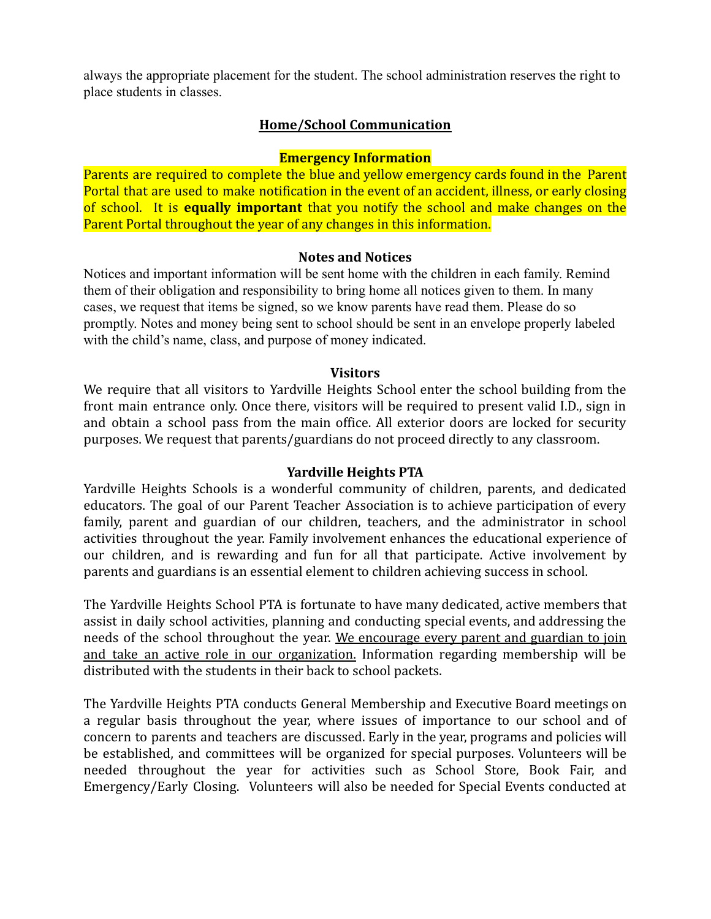always the appropriate placement for the student. The school administration reserves the right to always the appropriate placement for the student. The school administration reserves the right to place students in classes. place students in classes.

## **Home/School Communication** Home/School Communication

## **Emergency Information** Emergency Information

Parents are required to complete the blue and yellow emergency cards found in the Parent Parents are required to complete the blue and yellow emergency cards found in the Parent Portal that are used to make notification in the event of an accident, illness, or early closing Portal that are used to make notification in the event of an accident, illness, or early closing of school. It is **equally important** that you notify the school and make changes on the of school. It is equally important that you notify the school and make changes on the Parent Portal throughout the year of any changes in this information. Parent Portal throughout the year of any changes in this information.

#### **Notes and Notices** Notes and Notices

Notices and important information will be sent home with the children in each family. Remind Notices and important information will be sent home with the children in each family. Remind them of their obligation and responsibility to bring home all notices given to them. In many them of their obligation and responsibility to bring home all notices given to them. In many cases, we request that items be signed, so we know parents have read them. Please do so cases, we request that items be signed, so we know parents have read them. Please do so promptly. Notes and money being sent to school should be sent in an envelope properly labeled promptly. Notes and money being sent to school should be sent in an envelope properly labeled with the child's name, class, and purpose of money indicated. with the child's name, class, and purpose of money indicated.

#### **Visitors** Visitors

We require that all visitors to Yardville Heights School enter the school building from the We require that all visitors to Yardville Heights School enter the school building from the front main entrance only. Once there, visitors will be required to present valid I.D., sign in front main entrance only. Once there, visitors will be required to present valid I.D., sign in and obtain a school pass from the main office. All exterior doors are locked for security and obtain a school pass from the main office. All exterior doors are locked for security purposes. We request that parents/guardians do not proceed directly to any classroom. purposes. We request that parents/guardians do not proceed directly to any classroom.

### **Yardville Heights PTA** Yardville Heights PTA

Yardville Heights Schools is a wonderful community of children, parents, and dedicated Yardville Heights Schools is a wonderful community of children, parents, and dedicated educators. The goal of our Parent Teacher Association is to achieve participation of every educators. The goal of our Parent Teacher Association is to achieve participation of every family, parent and guardian of our children, teachers, and the administrator in school family, parent and guardian of our children, teachers, and the administrator in school activities throughout the year. Family involvement enhances the educational experience of activities throughout the year. Family involvement enhances the educational experience of our children, and is rewarding and fun for all that participate. Active involvement by our children, and is rewarding and fun for all that participate. Active involvement by parents and guardians is an essential element to children achieving success in school. parents and guardians is an essential element to children achieving success in school.

The Yardville Heights School PTA is fortunate to have many dedicated, active members that The Yardville Heights School PTA is fortunate to have many dedicated, active members that assist in daily school activities, planning and conducting special events, and addressing the assist in daily school activities, planning and conducting special events, and addressing the needs of the school throughout the year. We encourage every parent and guardian to join needs of the school throughout the year. We encourage every parent and guardian to join and take an active role in our organization. Information regarding membership will be and take an active role in our organization. Information regarding membership will be distributed with the students in their back to school packets. distributed with the students in their back to school packets.

The Yardville Heights PTA conducts General Membership and Executive Board meetings on The Yardville Heights PTA conducts General Membership and Executive Board meetings on a regular basis throughout the year, where issues of importance to our school and of a regular basis throughout the year, where issues of importance to our school and of concern to parents and teachers are discussed. Early in the year, programs and policies will concern to parents and teachers are discussed. Early in the year, programs and policies will be established, and committees will be organized for special purposes. Volunteers will be be established, and committees will be organized for special purposes. Volunteers will be needed throughout the year for activities such as School Store, Book Fair, and needed throughout the year for activities such as School Store, Book Fair, and Emergency/Early Closing. Volunteers will also be needed for Special Events conducted at Emergency/Early Closing. Volunteers will also be needed for Special Events conducted at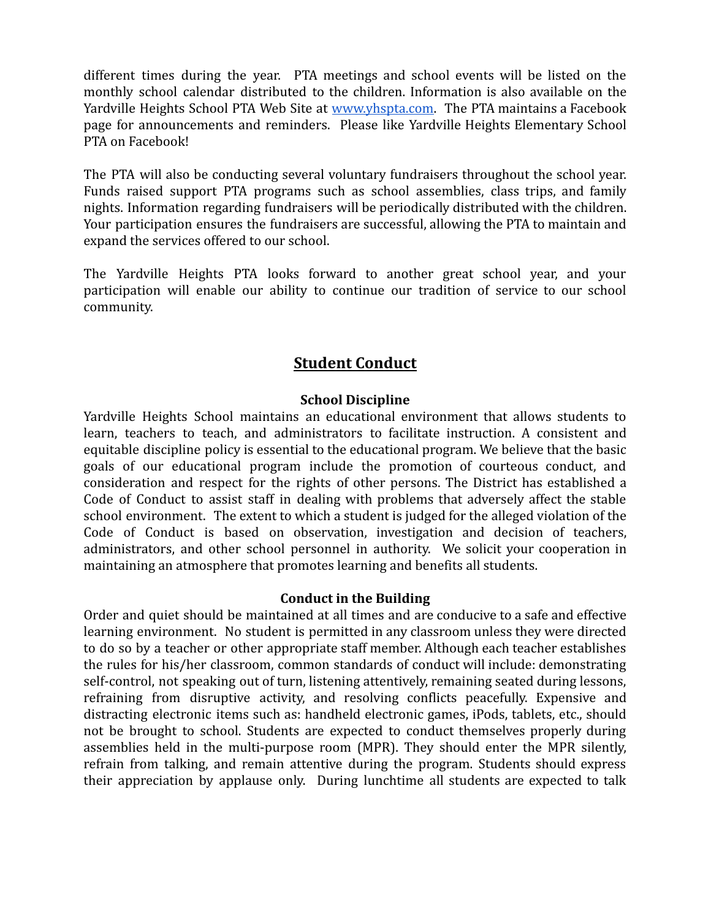different times during the year. PTA meetings and school events will be listed on the different times during the year. PTA meetings and school events will be listed on the monthly school calendar distributed to the children. Information is also available on the monthly school calendar distributed to the children. Information is also available on the Yardville Heights School PTA Web Site at <u>www.yhspta.com</u>. The PTA maintains a Facebook page for announcements and reminders. Please like Yardville Heights Elementary School page for announcements and reminders. Please like Yardville Heights Elementary School PTA on Facebook! PTA on Facebook!

The PTA will also be conducting several voluntary fundraisers throughout the school year. The PTA will also be conducting several voluntary fundraisers throughout the school year. Funds raised support PTA programs such as school assemblies, class trips, and family Funds raised support PTA programs such as school assemblies, class trips, and family nights. Information regarding fundraisers will be periodically distributed with the children. nights. Information regarding fundraisers will be periodically distributed with the children. Your participation ensures the fundraisers are successful, allowing the PTA to maintain and Your participation ensures the fundraisers are successful, allowing the PTA to maintain and expand the services offered to our school. expand the services offered to our school.

The Yardville Heights PTA looks forward to another great school year, and your The Yardville Heights PTA looks forward to another great school year, and your participation will enable our ability to continue our tradition of service to our school participation will enable our ability to continue our tradition of service to our school community. community.

## **Student Conduct** Student Conduct

## **School Discipline** School Discipline

Yardville Heights School maintains an educational environment that allows students to Yardville Heights School maintains an educational environment that allows students to learn, teachers to teach, and administrators to facilitate instruction. A consistent and learn, teachers to teach, and administrators to facilitate instruction. A consistent and equitable discipline policy is essential to the educational program. We believe that the basic equitable discipline policy is essential to the educational program. We believe that the basic goals of our educational program include the promotion of courteous conduct, and goals of our educational program include the promotion of courteous conduct, and consideration and respect for the rights of other persons. The District has established a consideration and respect for the rights of other persons. The District has established a Code of Conduct to assist staff in dealing with problems that adversely affect the stable Code of Conduct to assist staff in dealing with problems that adversely affect the stable school environment. The extent to which a student is judged for the alleged violation of the school environment. The extent to which a student is judged for the alleged violation of the Code of Conduct is based on observation, investigation and decision of teachers, Code of Conduct is based on observation, investigation and decision of teachers, administrators, and other school personnel in authority. We solicit your cooperation in administrators, and other school personnel in authority. We solicit your cooperation in maintaining an atmosphere that promotes learning and benefits all students. maintaining an atmosphere that promotes learning and benefits all students.

## **Conduct in the Building** Conduct in the Building

Order and quiet should be maintained at all times and are conducive to a safe and effective Order and quiet should be maintained at all times and are conducive to a safe and effective learning environment. No student is permitted in any classroom unless they were directed learning environment. No student is permitted in any classroom unless they were directed to do so by a teacher or other appropriate staff member. Although each teacher establishes to do so by a teacher or other appropriate staff member. Although each teacher establishes the rules for his/her classroom, common standards of conduct will include: demonstrating the rules for his/her classroom, common standards of conduct will include: demonstrating self-control, not speaking out of turn, listening attentively, remaining seated during lessons, self-control, not speaking out of turn, listening attentively, remaining seated during lessons, refraining from disruptive activity, and resolving conflicts peacefully. Expensive and refraining from disruptive activity, and resolving conflicts peacefully. Expensive and distracting electronic items such as: handheld electronic games, iPods, tablets, etc., should distracting electronic items such as: handheld electronic games, iPods, tablets, etc., should not be brought to school. Students are expected to conduct themselves properly during not be brought to school. Students are expected to conduct themselves properly during assemblies held in the multi-purpose room (MPR). They should enter the MPR silently, assemblies held in the multi-purpose room (MPR). They should enter the MPR silently, refrain from talking, and remain attentive during the program. Students should express refrain from talking, and remain attentive during the program. Students should express their appreciation by applause only. During lunchtime all students are expected to talk their appreciation by applause only. During lunchtime all students are expected to talk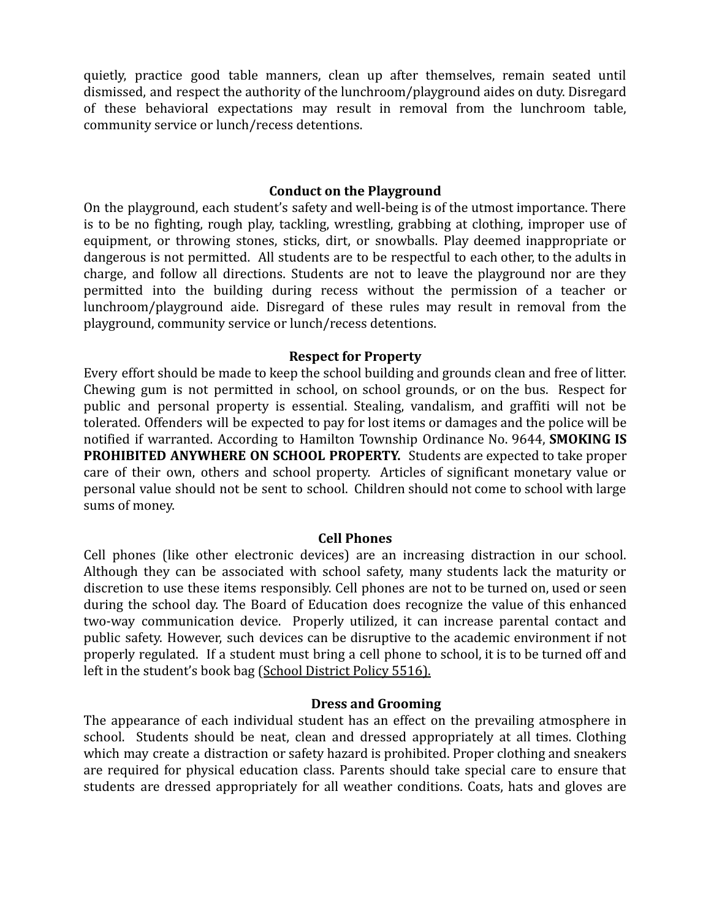quietly, practice good table manners, clean up after themselves, remain seated until quietly, practice good table manners, clean up after themselves, remain seated until dismissed, and respect the authority of the lunchroom/playground aides on duty. Disregard dismissed, and respect the authority of the lunchroom/playground aides on duty. Disregard of these behavioral expectations may result in removal from the lunchroom table, of these behavioral expectations may result in removal from the lunchroom table, community service or lunch/recess detentions. community service or lunch/recess detentions.

### **Conduct on the Playground** Conduct on the Playground

On the playground, each student's safety and well-being is of the utmost importance. There On the playground, each student's safety and well-being is of the utmost importance. There is to be no fighting, rough play, tackling, wrestling, grabbing at clothing, improper use of is to be no fighting, rough play, tackling, wrestling, grabbing at clothing, improper use of equipment, or throwing stones, sticks, dirt, or snowballs. Play deemed inappropriate or equipment, or throwing stones, sticks, dirt, or snowballs. Play deemed inappropriate or dangerous is not permitted. All students are to be respectful to each other, to the adults in dangerous is not permitted. All students are to be respectful to each other, to the adults in charge, and follow all directions. Students are not to leave the playground nor are they permitted into the building during recess without the permission of a teacher or permitted into the building during recess without the permission of a teacher or lunchroom/playground aide. Disregard of these rules may result in removal from the lunchroom/playground aide. Disregard of these rules may result in removal from the playground, community service or lunch/recess detentions. playground, community service or lunch/recess detentions.

## **Respect for Property** Respect for Property

Every effort should be made to keep the school building and grounds clean and free of litter. Every effort should be made to keep the school building and grounds clean and free of litter. Chewing gum is not permitted in school, on school grounds, or on the bus. Respect for Chewing gum is not permitted in school, on school grounds, or on the bus. Respect for public and personal property is essential. Stealing, vandalism, and graffiti will not be public and personal property is essential. Stealing, vandalism, and graffiti will not be tolerated. Offenders will be expected to pay for lost items or damages and the police will be tolerated. Offenders will be expected to pay for lost items or damages and the police will be notified if warranted. According to Hamilton Township Ordinance No. 9644, **SMOKING IS** notified if warranted. According to Hamilton Township Ordinance No. 9644, SMOKING IS **PROHIBITED ANYWHERE ON SCHOOL PROPERTY.** Students are expected to take proper PROHIBITED ANYWHERE ON SCHOOL PROPERTY. Students are expected to take proper care of their own, others and school property. Articles of significant monetary value or care of their own, others and school property. Articles of significant monetary value or personal value should not be sent to school. Children should not come to school with large personal value should not be sent to school. Children should not come to school with large sums of money. sums of money.

### **Cell Phones** Cell Phones

Cell phones (like other electronic devices) are an increasing distraction in our school. Cell phones (like other electronic devices) are an increasing distraction in our school. Although they can be associated with school safety, many students lack the maturity or Although they can be associated with school safety, many students lack the maturity or discretion to use these items responsibly. Cell phones are not to be turned on, used or seen discretion to use these items responsibly. Cell phones are not to be turned on, used or seen during the school day. The Board of Education does recognize the value of this enhanced during the school day. The Board of Education does recognize the value of this enhanced two-way communication device. Properly utilized, it can increase parental contact and two-way communication device. Properly utilized, it can increase parental contact and public safety. However, such devices can be disruptive to the academic environment if not public safety. However, such devices can be disruptive to the academic environment if not properly regulated. If a student must bring a cell phone to school, it is to be turned off and properly regulated. If a student must bring a cell phone to school, it is to be turned off and left in the student's book bag ([School District Policy](http://www.hamilton.k12.nj.us/files/filesystem/policy%205516-%20use%20of%20electronic%20communication%20and%20recording%20devices%20(ecrd).pdf) 5516). left in the student's book bag (School District Policy 5516).

### **Dress and Grooming** Dress and Grooming

The appearance of each individual student has an effect on the prevailing atmosphere in The appearance of each individual student has an effect on the prevailing atmosphere in school. Students should be neat, clean and dressed appropriately at all times. Clothing school. Students should be neat, clean and dressed appropriately at all times. Clothing which may create a distraction or safety hazard is prohibited. Proper clothing and sneakers which may create a distraction or safety hazard is prohibited. Proper clothing and sneakers are required for physical education class. Parents should take special care to ensure that are required for physical education class. Parents should take special care to ensure that students are dressed appropriately for all weather conditions. Coats, hats and gloves are students are dressed appropriately for all weather conditions. Coats, hats and gloves are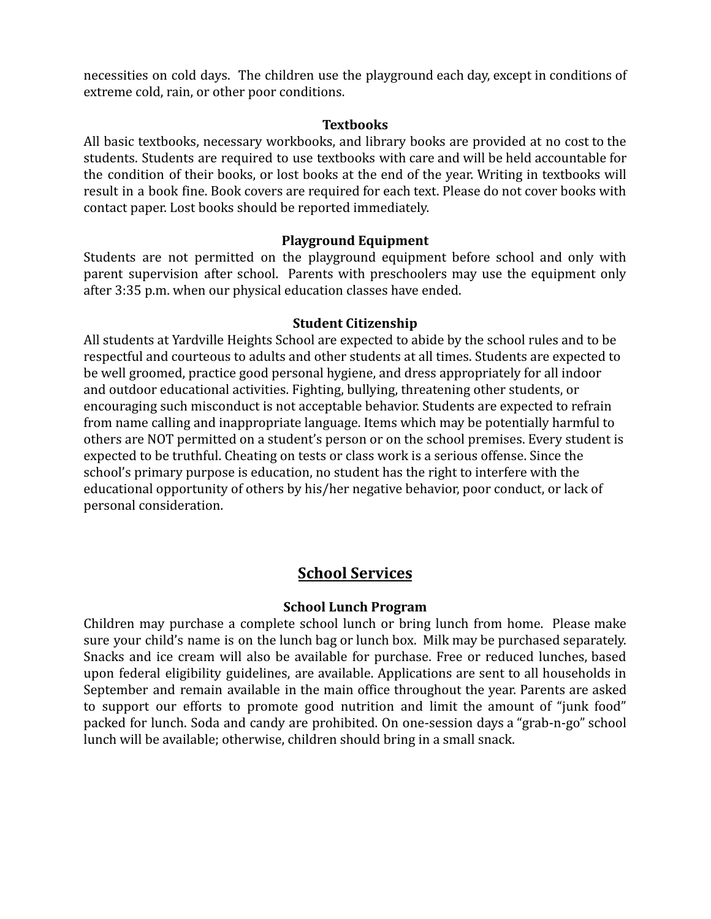necessities on cold days. The children use the playground each day, except in conditions of necessities on cold days. The children use the playground each day, except in conditions of extreme cold, rain, or other poor conditions. extreme cold, rain, or other poor conditions.

#### **Textbooks** Textbooks

All basic textbooks, necessary workbooks, and library books are provided at no cost to the All basic textbooks, necessary workbooks, and library books are provided at no cost to the students. Students are required to use textbooks with care and will be held accountable for students. Students are required to use textbooks with care and will be held accountable for the condition of their books, or lost books at the end of the year. Writing in textbooks will the condition of their books, or lost books at the end of the year. Writing in textbooks will result in a book fine. Book covers are required for each text. Please do not cover books with result in a book fine. Book covers are required for each text. Please do not cover books with contact paper. Lost books should be reported immediately. contact paper. Lost books should be reported immediately.

# **Playground Equipment** Playground Equipment

Students are not permitted on the playground equipment before school and only with Students are not permitted on the playground equipment before school and only with parent supervision after school. Parents with preschoolers may use the equipment only parent supervision after school. Parents with preschoolers may use the equipment only after 3:35 p.m. when our physical education classes have ended. after 3:35 p.m. when our physical education classes have ended.

## **Student Citizenship** Student Citizenship

All students at Yardville Heights School are expected to abide by the school rules and to be All students at Yardville Heights School are expected to abide by the school rules and to be respectful and courteous to adults and other students at all times. Students are expected to respectful and courteous to adults and other students at all times. Students are expected to be well groomed, practice good personal hygiene, and dress appropriately for all indoor be well groomed, practice good personal hygiene, and dress appropriately for all indoor and outdoor educational activities. Fighting, bullying, threatening other students, or and outdoor educational activities. Fighting, bullying, threatening other students, or encouraging such misconduct is not acceptable behavior. Students are expected to refrain encouraging such misconduct is not acceptable behavior. Students are expected to refrain from name calling and inappropriate language. Items which may be potentially harmful to from name calling and inappropriate language. Items which may be potentially harmful to others are NOT permitted on a student's person or on the school premises. Every student is others are NOT permitted on a student's person or on the school premises. Every student is expected to be truthful. Cheating on tests or class work is a serious offense. Since the expected to be truthful. Cheating on tests or class work is a serious offense. Since the school's primary purpose is education, no student has the right to interfere with the school's primary purpose is education, no student has the right to interfere with the educational opportunity of others by his/her negative behavior, poor conduct, or lack of educational opportunity of others by his/her negative behavior, poor conduct, or lack of personal consideration. personal consideration.

## **School Services** School Services

## **School Lunch Program** School Lunch Program

Children may purchase a complete school lunch or bring lunch from home. Please make Children may purchase a complete school lunch or bring lunch from home. Please make sure your child's name is on the lunch bag or lunch box. Milk may be purchased separately. sure your child's name is on the lunch bag or lunch box. Milk may be purchased separately. Snacks and ice cream will also be available for purchase. Free or reduced lunches, based Snacks and ice cream will also be available for purchase. Free or reduced lunches, based upon federal eligibility guidelines, are available. Applications are sent to all households in upon federal eligibility guidelines, are available. Applications are sent to all households in September and remain available in the main office throughout the year. Parents are asked September and remain available in the main office throughout the year. Parents are asked to support our efforts to promote good nutrition and limit the amount of "junk food" to support our efforts to promote good nutrition and limit the amount of "junk food" packed for lunch. Soda and candy are prohibited. On one-session days a "grab-n-go" school packed for lunch. Soda and candy are prohibited. On one-session days a "grab-n-go" school lunch will be available; otherwise, children should bring in a small snack. lunch will be available; otherwise, children should bring in a small snack.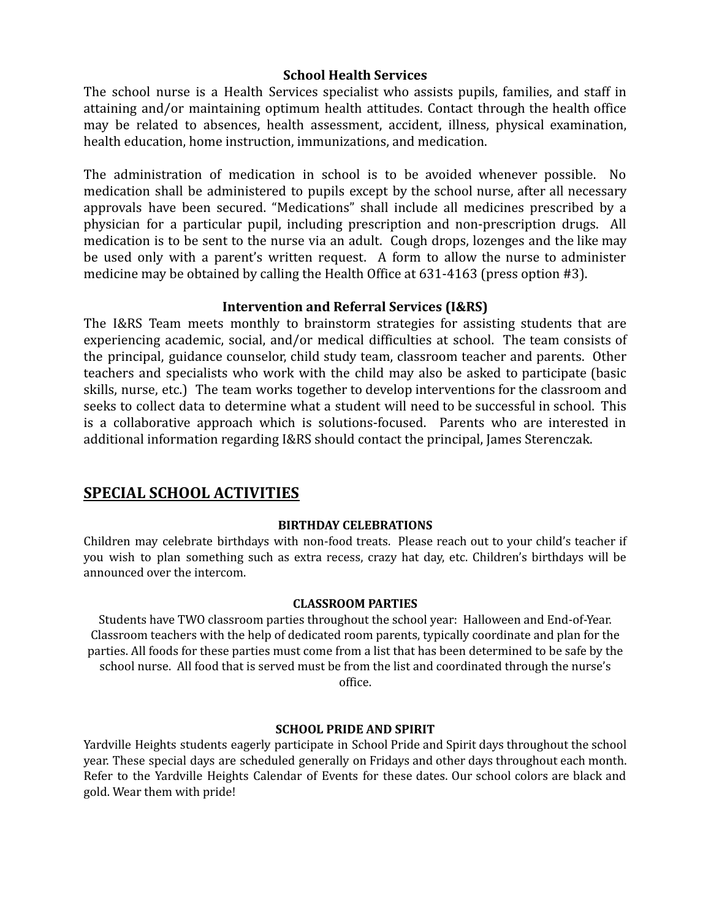#### **School Health Services** School Health Services

The school nurse is a Health Services specialist who assists pupils, families, and staff in The school nurse is a Health Services specialist who assists pupils, families, and staff in attaining and/or maintaining optimum health attitudes. Contact through the health office attaining and/or maintaining optimum health attitudes. Contact through the health office may be related to absences, health assessment, accident, illness, physical examination, may be related to absences, health assessment, accident, illness, physical examination, health education, home instruction, immunizations, and medication. health education, home instruction, immunizations, and medication.

The administration of medication in school is to be avoided whenever possible. No The administration of medication in school is to be avoided whenever possible. No medication shall be administered to pupils except by the school nurse, after all necessary medication shall be administered to pupils except by the school nurse, after all necessary approvals have been secured. "Medications" shall include all medicines prescribed by a approvals have been secured. "Medications" shall include all medicines prescribed by a physician for a particular pupil, including prescription and non-prescription drugs. All physician for a particular pupil, including prescription and non-prescription drugs. All medication is to be sent to the nurse via an adult. Cough drops, lozenges and the like may medication is to be sent to the nurse via an adult. Cough drops, lozenges and the like may be used only with a parent's written request. A form to allow the nurse to administer be used only with a parent's written request. A form to allow the nurse to administer medicine may be obtained by calling the Health Office at 631-4163 (press option #3). medicine may be obtained by calling the Health Office at 631-4163 (press option #3).

### **Intervention and Referral Services (I&RS)** Intervention and Referral Services (I&RS)

The I&RS Team meets monthly to brainstorm strategies for assisting students that are The I&RS Team meets monthly to brainstorm strategies for assisting students that are experiencing academic, social, and/or medical difficulties at school. The team consists of experiencing academic, social, and/or medical difficulties at school. The team consists of the principal, guidance counselor, child study team, classroom teacher and parents. Other the principal, guidance counselor, child study team, classroom teacher and parents. Other teachers and specialists who work with the child may also be asked to participate (basic teachers and specialists who work with the child may also be asked to participate (basic skills, nurse, etc.) The team works together to develop interventions for the classroom and skills, nurse, etc.) The team works together to develop interventions for the classroom and seeks to collect data to determine what a student will need to be successful in school. This seeks to collect data to determine what a student will need to be successful in school. This is a collaborative approach which is solutions-focused. Parents who are interested in is a collaborative approach which is solutions-focused. Parents who are interested in additional information regarding I&RS should contact the principal, James Sterenczak. additional information regarding I&RS should contact the principal, James Sterenczak.

## **SPECIAL SCHOOL ACTIVITIES** SPECIAL SCHOOL ACTIVITIES

#### **BIRTHDAY CELEBRATIONS** BIRTHDAY CELEBRATIONS

Children may celebrate birthdays with non-food treats. Please reach out to your child's teacher if Children may celebrate birthdays with non-food treats. Please reach out to your child's teacher if you wish to plan something such as extra recess, crazy hat day, etc. Children's birthdays will be you wish to plan something such as extra recess, crazy hat day, etc. Children's birthdays will be announced over the intercom. announced over the intercom.

#### **CLASSROOM PARTIES** CLASSROOM PARTIES

Students have TWO classroom parties throughout the school year: Halloween and End-of-Year. Students have TWO classroom parties throughout the school year: Halloween and End-of-year. Classroom teachers with the help of dedicated room parents, typically coordinate and plan for the Classroom teachers with the help of dedicated room parents, typically coordinate and plan for the parties. All foods for these parties must come from a list that has been determined to be safe by the parties. All foods for these parties must come from a list that has been determined to be safe by the school nurse. All food that is served must be from the list and coordinated through the nurse's school nurse. All food that is served must be from the list and coordinated through the nurse's office. office.

#### **SCHOOL PRIDE AND SPIRIT** SCHOOL PRIDE AND SPIRIT

Yardville Heights students eagerly participate in School Pride and Spirit days throughout the school Yardville Heights students eagerly participate in School Pride and Spirit days throughout the school year. These special days are scheduled generally on Fridays and other days throughout each month. year. These special days are scheduled generally on Fridays and other days throughout each month. Refer to the Yardville Heights Calendar of Events for these dates. Our school colors are black and Refer to the Yardville Heights Calendar of Events for these dates. Our school colors are black and gold. Wear them with pride! gold. Wear them with pride!